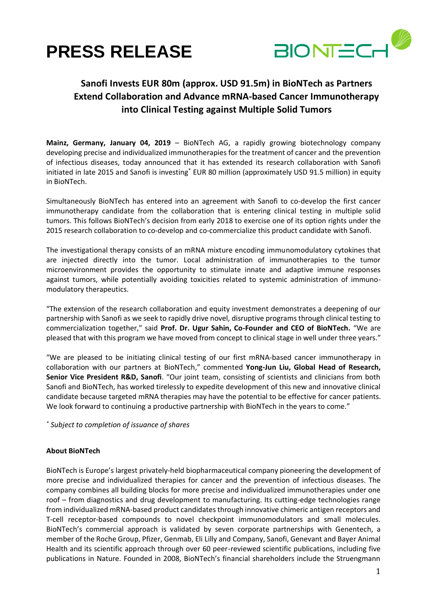



## **Sanofi Invests EUR 80m (approx. USD 91.5m) in BioNTech as Partners Extend Collaboration and Advance mRNA-based Cancer Immunotherapy into Clinical Testing against Multiple Solid Tumors**

**Mainz, Germany, January 04, 2019** – BioNTech AG, a rapidly growing biotechnology company developing precise and individualized immunotherapies for the treatment of cancer and the prevention of infectious diseases, today announced that it has extended its research collaboration with Sanofi initiated in late 2015 and Sanofi is investing<sup>\*</sup> EUR 80 million (approximately USD 91.5 million) in equity in BioNTech.

Simultaneously BioNTech has entered into an agreement with Sanofi to co-develop the first cancer immunotherapy candidate from the collaboration that is entering clinical testing in multiple solid tumors. This follows BioNTech's decision from early 2018 to exercise one of its option rights under the 2015 research collaboration to co-develop and co-commercialize this product candidate with Sanofi.

The investigational therapy consists of an mRNA mixture encoding immunomodulatory cytokines that are injected directly into the tumor. Local administration of immunotherapies to the tumor microenvironment provides the opportunity to stimulate innate and adaptive immune responses against tumors, while potentially avoiding toxicities related to systemic administration of immunomodulatory therapeutics.

"The extension of the research collaboration and equity investment demonstrates a deepening of our partnership with Sanofi as we seek to rapidly drive novel, disruptive programs through clinical testing to commercialization together," said **Prof. Dr. Ugur Sahin, Co-Founder and CEO of BioNTech.** "We are pleased that with this program we have moved from concept to clinical stage in well under three years."

"We are pleased to be initiating clinical testing of our first mRNA-based cancer immunotherapy in collaboration with our partners at BioNTech," commented **Yong-Jun Liu, Global Head of Research, Senior Vice President R&D, Sanofi**. "Our joint team, consisting of scientists and clinicians from both Sanofi and BioNTech, has worked tirelessly to expedite development of this new and innovative clinical candidate because targeted mRNA therapies may have the potential to be effective for cancer patients. We look forward to continuing a productive partnership with BioNTech in the years to come."

*\* Subject to completion of issuance of shares*

## **About BioNTech**

BioNTech is Europe's largest privately-held biopharmaceutical company pioneering the development of more precise and individualized therapies for cancer and the prevention of infectious diseases. The company combines all building blocks for more precise and individualized immunotherapies under one roof – from diagnostics and drug development to manufacturing. Its cutting-edge technologies range from individualized mRNA-based product candidates through innovative chimeric antigen receptors and T-cell receptor-based compounds to novel checkpoint immunomodulators and small molecules. BioNTech's commercial approach is validated by seven corporate partnerships with Genentech, a member of the Roche Group, Pfizer, Genmab, Eli Lilly and Company, Sanofi, Genevant and Bayer Animal Health and its scientific approach through over 60 peer-reviewed scientific publications, including five publications in Nature. Founded in 2008, BioNTech's financial shareholders include the Struengmann